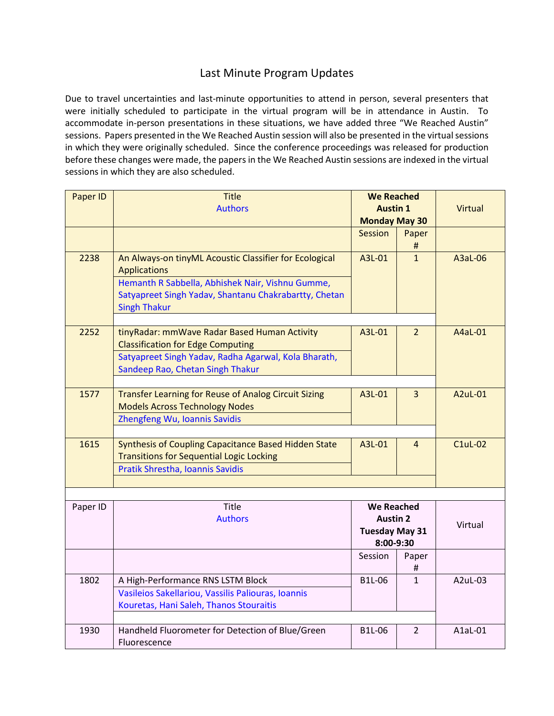## Last Minute Program Updates

Due to travel uncertainties and last-minute opportunities to attend in person, several presenters that were initially scheduled to participate in the virtual program will be in attendance in Austin. To accommodate in-person presentations in these situations, we have added three "We Reached Austin" sessions. Papers presented in the We Reached Austin session will also be presented in the virtual sessions in which they were originally scheduled. Since the conference proceedings was released for production before these changes were made, the papers in the We Reached Austin sessions are indexed in the virtual sessions in which they are also scheduled.

| Paper ID | <b>Title</b>                                                                  | <b>We Reached</b>                                                          |                |                |  |  |  |
|----------|-------------------------------------------------------------------------------|----------------------------------------------------------------------------|----------------|----------------|--|--|--|
|          | <b>Authors</b>                                                                | <b>Austin 1</b>                                                            |                | Virtual        |  |  |  |
|          |                                                                               | <b>Monday May 30</b>                                                       |                |                |  |  |  |
|          |                                                                               | <b>Session</b>                                                             | Paper          |                |  |  |  |
|          |                                                                               |                                                                            | #              |                |  |  |  |
| 2238     | An Always-on tinyML Acoustic Classifier for Ecological<br><b>Applications</b> | A3L-01                                                                     | $\mathbf{1}$   | A3aL-06        |  |  |  |
|          | Hemanth R Sabbella, Abhishek Nair, Vishnu Gumme,                              |                                                                            |                |                |  |  |  |
|          | Satyapreet Singh Yadav, Shantanu Chakrabartty, Chetan                         |                                                                            |                |                |  |  |  |
|          | <b>Singh Thakur</b>                                                           |                                                                            |                |                |  |  |  |
|          |                                                                               |                                                                            |                |                |  |  |  |
| 2252     | tinyRadar: mmWave Radar Based Human Activity                                  | A3L-01                                                                     | $\overline{2}$ | A4aL-01        |  |  |  |
|          | <b>Classification for Edge Computing</b>                                      |                                                                            |                |                |  |  |  |
|          | Satyapreet Singh Yadav, Radha Agarwal, Kola Bharath,                          |                                                                            |                |                |  |  |  |
|          | Sandeep Rao, Chetan Singh Thakur                                              |                                                                            |                |                |  |  |  |
|          |                                                                               |                                                                            |                |                |  |  |  |
| 1577     | <b>Transfer Learning for Reuse of Analog Circuit Sizing</b>                   | A3L-01                                                                     | $\overline{3}$ | A2uL-01        |  |  |  |
|          | <b>Models Across Technology Nodes</b>                                         |                                                                            |                |                |  |  |  |
|          | Zhengfeng Wu, Ioannis Savidis                                                 |                                                                            |                |                |  |  |  |
|          |                                                                               |                                                                            |                |                |  |  |  |
| 1615     | Synthesis of Coupling Capacitance Based Hidden State                          | A3L-01                                                                     | $\overline{4}$ | <b>C1uL-02</b> |  |  |  |
|          | <b>Transitions for Sequential Logic Locking</b>                               |                                                                            |                |                |  |  |  |
|          | Pratik Shrestha, Ioannis Savidis                                              |                                                                            |                |                |  |  |  |
|          |                                                                               |                                                                            |                |                |  |  |  |
|          |                                                                               |                                                                            |                |                |  |  |  |
| Paper ID | Title                                                                         | <b>We Reached</b><br><b>Austin 2</b><br><b>Tuesday May 31</b><br>8:00-9:30 |                |                |  |  |  |
|          | <b>Authors</b>                                                                |                                                                            |                | Virtual        |  |  |  |
|          |                                                                               |                                                                            |                |                |  |  |  |
|          |                                                                               |                                                                            |                |                |  |  |  |
|          |                                                                               | Session                                                                    | Paper          |                |  |  |  |
|          |                                                                               |                                                                            | #              |                |  |  |  |
| 1802     | A High-Performance RNS LSTM Block                                             | B1L-06                                                                     | $\mathbf{1}$   | A2uL-03        |  |  |  |
|          | Vasileios Sakellariou, Vassilis Paliouras, Ioannis                            |                                                                            |                |                |  |  |  |
|          | Kouretas, Hani Saleh, Thanos Stouraitis                                       |                                                                            |                |                |  |  |  |
|          |                                                                               |                                                                            |                |                |  |  |  |
| 1930     | Handheld Fluorometer for Detection of Blue/Green                              | B1L-06                                                                     | 2              | A1aL-01        |  |  |  |
|          | Fluorescence                                                                  |                                                                            |                |                |  |  |  |